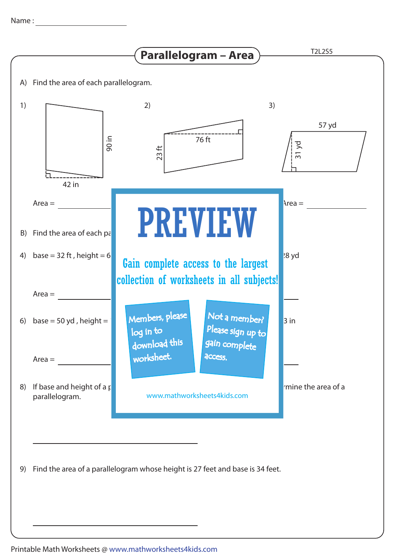